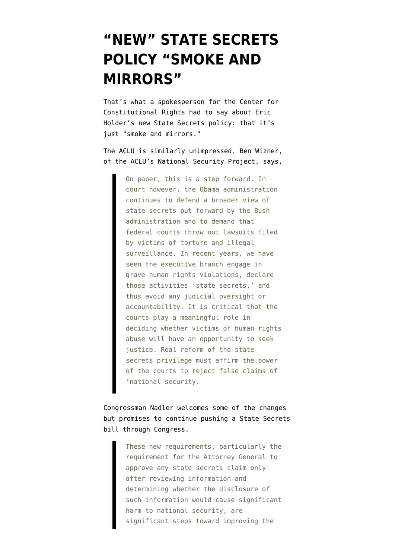## **["NEW" STATE SECRETS](https://www.emptywheel.net/2009/09/23/new-state-secrets-policy-smoke-and-mirrors/) [POLICY "SMOKE AND](https://www.emptywheel.net/2009/09/23/new-state-secrets-policy-smoke-and-mirrors/) [MIRRORS"](https://www.emptywheel.net/2009/09/23/new-state-secrets-policy-smoke-and-mirrors/)**

That's what a spokesperson for the Center for Constitutional Rights had to say about Eric Holder's new State Secrets policy: that it's just "smoke and mirrors."

The ACLU is similarly unimpressed. Ben Wizner, of the ACLU's National Security Project, says,

> On paper, this is a step forward. In court however, the Obama administration continues to defend a broader view of state secrets put forward by the Bush administration and to demand that federal courts throw out lawsuits filed by victims of torture and illegal surveillance. In recent years, we have seen the executive branch engage in grave human rights violations, declare those activities 'state secrets,' and thus avoid any judicial oversight or accountability. It is critical that the courts play a meaningful role in deciding whether victims of human rights abuse will have an opportunity to seek justice. Real reform of the state secrets privilege must affirm the power of the courts to reject false claims of 'national security.

Congressman Nadler welcomes some of the changes but promises to continue pushing a State Secrets bill through Congress.

> These new requirements, particularly the requirement for the Attorney General to approve any state secrets claim only after reviewing information and determining whether the disclosure of such information would cause significant harm to national security, are significant steps toward improving the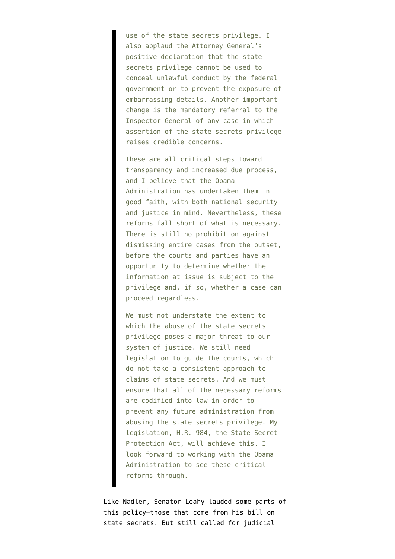use of the state secrets privilege. I also applaud the Attorney General's positive declaration that the state secrets privilege cannot be used to conceal unlawful conduct by the federal government or to prevent the exposure of embarrassing details. Another important change is the mandatory referral to the Inspector General of any case in which assertion of the state secrets privilege raises credible concerns.

These are all critical steps toward transparency and increased due process, and I believe that the Obama Administration has undertaken them in good faith, with both national security and justice in mind. Nevertheless, these reforms fall short of what is necessary. There is still no prohibition against dismissing entire cases from the outset, before the courts and parties have an opportunity to determine whether the information at issue is subject to the privilege and, if so, whether a case can proceed regardless.

We must not understate the extent to which the abuse of the state secrets privilege poses a major threat to our system of justice. We still need legislation to guide the courts, which do not take a consistent approach to claims of state secrets. And we must ensure that all of the necessary reforms are codified into law in order to prevent any future administration from abusing the state secrets privilege. My legislation, H.R. 984, the State Secret Protection Act, will achieve this. I look forward to working with the Obama Administration to see these critical reforms through.

Like Nadler, Senator Leahy lauded some parts of this policy–those that come from his bill on state secrets. But still called for judicial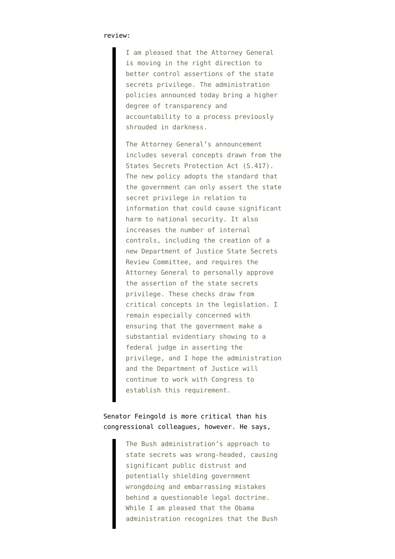## review:

I am pleased that the Attorney General is moving in the right direction to better control assertions of the state secrets privilege. The administration policies announced today bring a higher degree of transparency and accountability to a process previously shrouded in darkness.

The Attorney General's announcement includes several concepts drawn from the States Secrets Protection Act (S.417). The new policy adopts the standard that the government can only assert the state secret privilege in relation to information that could cause significant harm to national security. It also increases the number of internal controls, including the creation of a new Department of Justice State Secrets Review Committee, and requires the Attorney General to personally approve the assertion of the state secrets privilege. These checks draw from critical concepts in the legislation. I remain especially concerned with ensuring that the government make a substantial evidentiary showing to a federal judge in asserting the privilege, and I hope the administration and the Department of Justice will continue to work with Congress to establish this requirement.

## Senator Feingold is more critical than his congressional colleagues, however. He says,

The Bush administration's approach to state secrets was wrong-headed, causing significant public distrust and potentially shielding government wrongdoing and embarrassing mistakes behind a questionable legal doctrine. While I am pleased that the Obama administration recognizes that the Bush